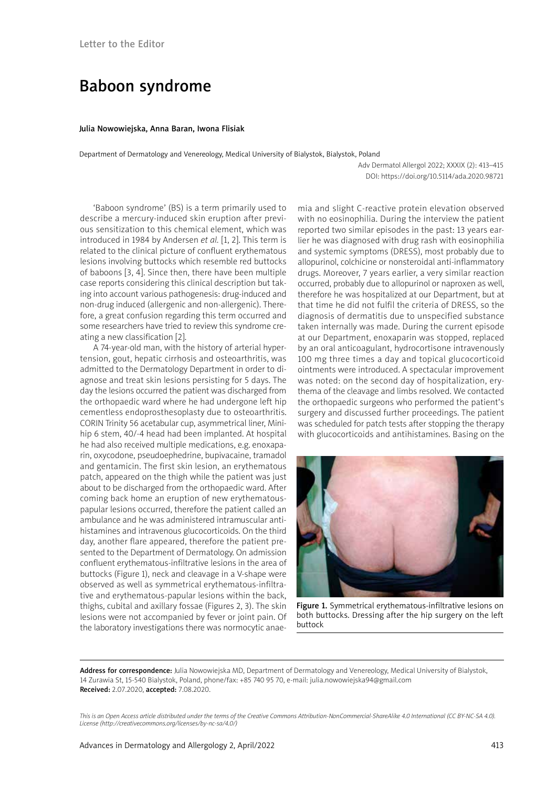## Baboon syndrome

## Julia Nowowiejska, Anna Baran, Iwona Flisiak

Department of Dermatology and Venereology, Medical University of Bialystok, Bialystok, Poland

Adv Dermatol Allergol 2022; XXXIX (2): 413–415 DOI: https://doi.org/10.5114/ada.2020.98721

'Baboon syndrome' (BS) is a term primarily used to describe a mercury-induced skin eruption after previous sensitization to this chemical element, which was introduced in 1984 by Andersen *et al.* [1, 2]. This term is related to the clinical picture of confluent erythematous lesions involving buttocks which resemble red buttocks of baboons [3, 4]. Since then, there have been multiple case reports considering this clinical description but taking into account various pathogenesis: drug-induced and non-drug induced (allergenic and non-allergenic). Therefore, a great confusion regarding this term occurred and some researchers have tried to review this syndrome creating a new classification [2].

A 74-year-old man, with the history of arterial hypertension, gout, hepatic cirrhosis and osteoarthritis, was admitted to the Dermatology Department in order to diagnose and treat skin lesions persisting for 5 days. The day the lesions occurred the patient was discharged from the orthopaedic ward where he had undergone left hip cementless endoprosthesoplasty due to osteoarthritis. CORIN Trinity 56 acetabular cup, asymmetrical liner, Minihip 6 stem, 40/-4 head had been implanted. At hospital he had also received multiple medications, e.g. enoxaparin, oxycodone, pseudoephedrine, bupivacaine, tramadol and gentamicin. The first skin lesion, an erythematous patch, appeared on the thigh while the patient was just about to be discharged from the orthopaedic ward. After coming back home an eruption of new erythematouspapular lesions occurred, therefore the patient called an ambulance and he was administered intramuscular antihistamines and intravenous glucocorticoids. On the third day, another flare appeared, therefore the patient presented to the Department of Dermatology. On admission confluent erythematous-infiltrative lesions in the area of buttocks (Figure 1), neck and cleavage in a V-shape were observed as well as symmetrical erythematous-infiltrative and erythematous-papular lesions within the back, thighs, cubital and axillary fossae (Figures 2, 3). The skin lesions were not accompanied by fever or joint pain. Of the laboratory investigations there was normocytic anae-

mia and slight C-reactive protein elevation observed with no eosinophilia. During the interview the patient reported two similar episodes in the past: 13 years earlier he was diagnosed with drug rash with eosinophilia and systemic symptoms (DRESS), most probably due to allopurinol, colchicine or nonsteroidal anti-inflammatory drugs. Moreover, 7 years earlier, a very similar reaction occurred, probably due to allopurinol or naproxen as well, therefore he was hospitalized at our Department, but at that time he did not fulfil the criteria of DRESS, so the diagnosis of dermatitis due to unspecified substance taken internally was made. During the current episode at our Department, enoxaparin was stopped, replaced by an oral anticoagulant, hydrocortisone intravenously 100 mg three times a day and topical glucocorticoid ointments were introduced. A spectacular improvement was noted: on the second day of hospitalization, erythema of the cleavage and limbs resolved. We contacted the orthopaedic surgeons who performed the patient's surgery and discussed further proceedings. The patient was scheduled for patch tests after stopping the therapy with glucocorticoids and antihistamines. Basing on the



Figure 1. Symmetrical erythematous-infiltrative lesions on both buttocks. Dressing after the hip surgery on the left buttock

Address for correspondence: Julia Nowowiejska MD, Department of Dermatology and Venereology, Medical University of Bialystok, 14 Zurawia St, 15-540 Bialystok, Poland, phone/fax: +85 740 95 70, e-mail: julia.nowowiejska94@gmail.com Received: 2.07.2020, accepted: 7.08.2020.

*This is an Open Access article distributed under the terms of the Creative Commons Attribution-NonCommercial-ShareAlike 4.0 International (CC BY-NC-SA 4.0). License (http://creativecommons.org/licenses/by-nc-sa/4.0/)*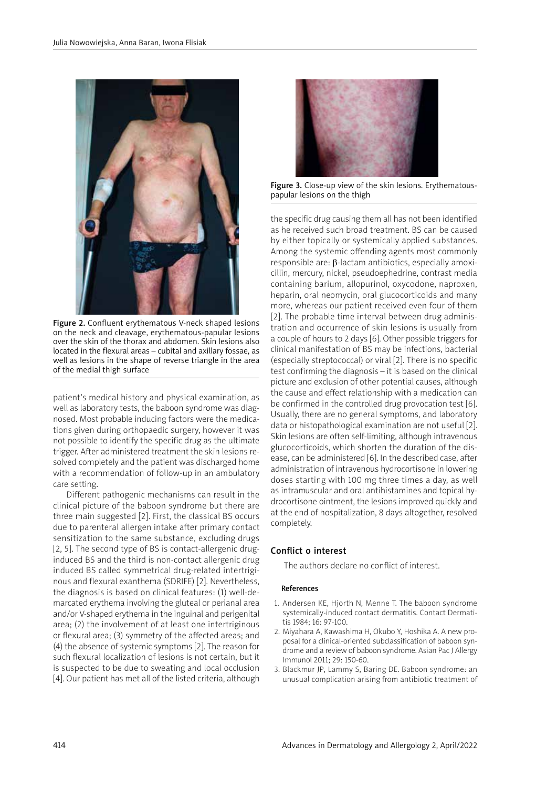

Figure 2. Confluent erythematous V-neck shaped lesions on the neck and cleavage, erythematous-papular lesions over the skin of the thorax and abdomen. Skin lesions also located in the flexural areas – cubital and axillary fossae, as well as lesions in the shape of reverse triangle in the area of the medial thigh surface

patient's medical history and physical examination, as well as laboratory tests, the baboon syndrome was diagnosed. Most probable inducing factors were the medications given during orthopaedic surgery, however it was not possible to identify the specific drug as the ultimate trigger. After administered treatment the skin lesions resolved completely and the patient was discharged home with a recommendation of follow-up in an ambulatory care setting.

Different pathogenic mechanisms can result in the clinical picture of the baboon syndrome but there are three main suggested [2]. First, the classical BS occurs due to parenteral allergen intake after primary contact sensitization to the same substance, excluding drugs [2, 5]. The second type of BS is contact-allergenic druginduced BS and the third is non-contact allergenic drug induced BS called symmetrical drug-related intertriginous and flexural exanthema (SDRIFE) [2]. Nevertheless, the diagnosis is based on clinical features: (1) well-demarcated erythema involving the gluteal or perianal area and/or V-shaped erythema in the inguinal and perigenital area; (2) the involvement of at least one intertriginous or flexural area; (3) symmetry of the affected areas; and (4) the absence of systemic symptoms [2]. The reason for such flexural localization of lesions is not certain, but it is suspected to be due to sweating and local occlusion [4]. Our patient has met all of the listed criteria, although



Figure 3. Close-up view of the skin lesions. Erythematouspapular lesions on the thigh

the specific drug causing them all has not been identified as he received such broad treatment. BS can be caused by either topically or systemically applied substances. Among the systemic offending agents most commonly responsible are: β-lactam antibiotics, especially amoxicillin, mercury, nickel, pseudoephedrine, contrast media containing barium, allopurinol, oxycodone, naproxen, heparin, oral neomycin, oral glucocorticoids and many more, whereas our patient received even four of them [2]. The probable time interval between drug administration and occurrence of skin lesions is usually from a couple of hours to 2 days [6]. Other possible triggers for clinical manifestation of BS may be infections, bacterial (especially streptococcal) or viral [2]. There is no specific test confirming the diagnosis – it is based on the clinical picture and exclusion of other potential causes, although the cause and effect relationship with a medication can be confirmed in the controlled drug provocation test [6]. Usually, there are no general symptoms, and laboratory data or histopathological examination are not useful [2]. Skin lesions are often self-limiting, although intravenous glucocorticoids, which shorten the duration of the disease, can be administered [6]. In the described case, after administration of intravenous hydrocortisone in lowering doses starting with 100 mg three times a day, as well as intramuscular and oral antihistamines and topical hydrocortisone ointment, the lesions improved quickly and at the end of hospitalization, 8 days altogether, resolved completely.

## Conflict o interest

The authors declare no conflict of interest.

## References

- 1. Andersen KE, Hjorth N, Menne T. The baboon syndrome systemically-induced contact dermatitis. Contact Dermatitis 1984; 16: 97-100.
- 2. Miyahara A, Kawashima H, Okubo Y, Hoshika A. A new proposal for a clinical-oriented subclassification of baboon syndrome and a review of baboon syndrome. Asian Pac J Allergy Immunol 2011; 29: 150-60.
- 3. Blackmur JP, Lammy S, Baring DE. Baboon syndrome: an unusual complication arising from antibiotic treatment of